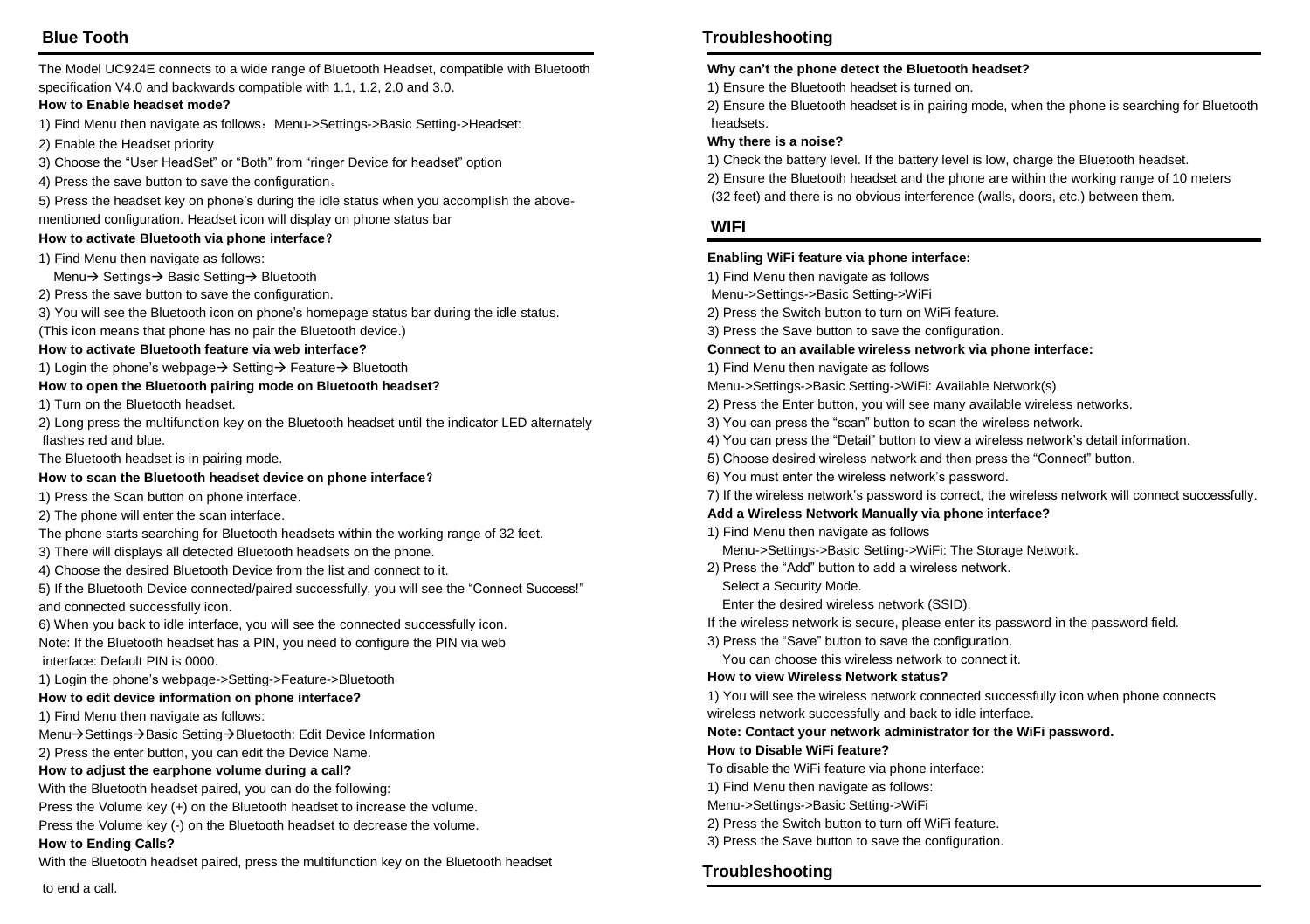# **Blue Tooth**

The Model UC924E connects to a wide range of Bluetooth Headset, compatible with Bluetooth specification V4.0 and backwards compatible with 1.1, 1.2, 2.0 and 3.0.

#### **How to Enable headset mode?**

- 1) Find Menu then navigate as follows: Menu->Settings->Basic Setting->Headset:
- 2) Enable the Headset priority
- 3) Choose the "User HeadSet" or "Both" from "ringer Device for headset" option
- 4) Press the save button to save the configuration。

5) Press the headset key on phone's during the idle status when you accomplish the abovementioned configuration. Headset icon will display on phone status bar

#### **How to activate Bluetooth via phone interface**?

1) Find Menu then navigate as follows:

Menu→ Settings→ Basic Setting → Bluetooth

- 2) Press the save button to save the configuration.
- 3) You will see the Bluetooth icon on phone's homepage status bar during the idle status.

(This icon means that phone has no pair the Bluetooth device.)

#### **How to activate Bluetooth feature via web interface?**

1) Login the phone's webpage  $\rightarrow$  Setting  $\rightarrow$  Feature  $\rightarrow$  Bluetooth

#### **How to open the Bluetooth pairing mode on Bluetooth headset?**

1) Turn on the Bluetooth headset.

2) Long press the multifunction key on the Bluetooth headset until the indicator LED alternately flashes red and blue.

The Bluetooth headset is in pairing mode.

#### **How to scan the Bluetooth headset device on phone interface**?

1) Press the Scan button on phone interface.

2) The phone will enter the scan interface.

- The phone starts searching for Bluetooth headsets within the working range of 32 feet.
- 3) There will displays all detected Bluetooth headsets on the phone.
- 4) Choose the desired Bluetooth Device from the list and connect to it.

5) If the Bluetooth Device connected/paired successfully, you will see the "Connect Success!" and connected successfully icon.

6) When you back to idle interface, you will see the connected successfully icon. Note: If the Bluetooth headset has a PIN, you need to configure the PIN via web interface: Default PIN is 0000.

1) Login the phone's webpage->Setting->Feature->Bluetooth

#### **How to edit device information on phone interface?**

1) Find Menu then navigate as follows:

Menu→Settings→Basic Setting→Bluetooth: Edit Device Information

2) Press the enter button, you can edit the Device Name.

#### **How to adjust the earphone volume during a call?**

With the Bluetooth headset paired, you can do the following:

Press the Volume key (+) on the Bluetooth headset to increase the volume.

Press the Volume key (-) on the Bluetooth headset to decrease the volume.

#### **How to Ending Calls?**

With the Bluetooth headset paired, press the multifunction key on the Bluetooth headset

# **Troubleshooting**

#### **Why can't the phone detect the Bluetooth headset?**

1) Ensure the Bluetooth headset is turned on.

2) Ensure the Bluetooth headset is in pairing mode, when the phone is searching for Bluetooth headsets.

#### **Why there is a noise?**

1) Check the battery level. If the battery level is low, charge the Bluetooth headset.

2) Ensure the Bluetooth headset and the phone are within the working range of 10 meters

(32 feet) and there is no obvious interference (walls, doors, etc.) between them.

### **WIFI**

#### **Enabling WiFi feature via phone interface:**

- 1) Find Menu then navigate as follows
- Menu->Settings->Basic Setting->WiFi
- 2) Press the Switch button to turn on WiFi feature.
- 3) Press the Save button to save the configuration.

#### **Connect to an available wireless network via phone interface:**

- 1) Find Menu then navigate as follows
- Menu->Settings->Basic Setting->WiFi: Available Network(s)
- 2) Press the Enter button, you will see many available wireless networks.
- 3) You can press the "scan" button to scan the wireless network.
- 4) You can press the "Detail" button to view a wireless network's detail information.
- 5) Choose desired wireless network and then press the "Connect" button.
- 6) You must enter the wireless network's password.
- 7) If the wireless network's password is correct, the wireless network will connect successfully.

#### **Add a Wireless Network Manually via phone interface?**

- 1) Find Menu then navigate as follows
	- Menu->Settings->Basic Setting->WiFi: The Storage Network.
- 2) Press the "Add" button to add a wireless network.
	- Select a Security Mode.

Enter the desired wireless network (SSID).

- If the wireless network is secure, please enter its password in the password field.
- 3) Press the "Save" button to save the configuration.

You can choose this wireless network to connect it.

#### **How to view Wireless Network status?**

1) You will see the wireless network connected successfully icon when phone connects wireless network successfully and back to idle interface.

**Note: Contact your network administrator for the WiFi password.**

#### **How to Disable WiFi feature?**

- To disable the WiFi feature via phone interface:
- 1) Find Menu then navigate as follows:
- Menu->Settings->Basic Setting->WiFi
- 2) Press the Switch button to turn off WiFi feature.
- 3) Press the Save button to save the configuration.

### **Troubleshooting**

to end a call.